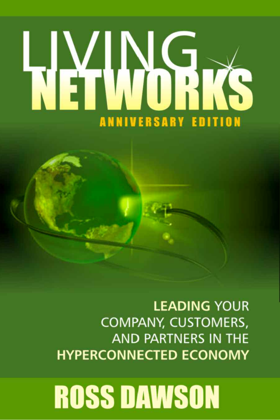# NETWORKS **ANNIVERSARY EDITION**

**LEADING YOUR COMPANY, CUSTOMERS,** AND PARTNERS IN THE **HYPERCONNECTED ECONOMY** 

**ROSS DAWSON**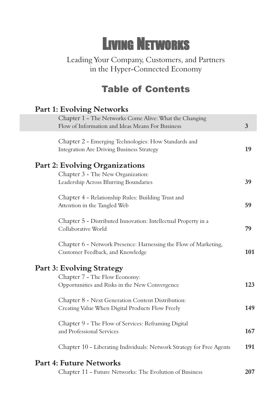# LIVING NETWORKS

# Leading Your Company, Customers, and Partners in the Hyper-Connected Economy

# Table of Contents

| <b>Part 1: Evolving Networks</b>                                      |     |
|-----------------------------------------------------------------------|-----|
| Chapter 1 - The Networks Come Alive: What the Changing                |     |
| Flow of Information and Ideas Means For Business                      | 3   |
|                                                                       |     |
| Chapter 2 - Emerging Technologies: How Standards and                  |     |
| <b>Integration Are Driving Business Strategy</b>                      | 19  |
| <b>Part 2: Evolving Organizations</b>                                 |     |
| Chapter 3 - The New Organization:                                     |     |
| Leadership Across Blurring Boundaries                                 | 39  |
| Chapter 4 - Relationship Rules: Building Trust and                    |     |
| Attention in the Tangled Web                                          | 59  |
|                                                                       |     |
| Chapter 5 - Distributed Innovation: Intellectual Property in a        |     |
| Collaborative World                                                   | 79  |
| Chapter 6 - Network Presence: Harnessing the Flow of Marketing,       |     |
| Customer Feedback, and Knowledge                                      | 101 |
|                                                                       |     |
| <b>Part 3: Evolving Strategy</b>                                      |     |
| Chapter 7 - The Flow Economy:                                         |     |
| Opportunities and Risks in the New Convergence                        | 123 |
| Chapter 8 - Next Generation Content Distribution:                     |     |
| Creating Value When Digital Products Flow Freely                      | 149 |
|                                                                       |     |
| Chapter 9 - The Flow of Services: Reframing Digital                   |     |
| and Professional Services                                             | 167 |
| Chapter 10 - Liberating Individuals: Network Strategy for Free Agents | 191 |
| <b>Part 4: Future Networks</b>                                        |     |
| Chapter 11 - Future Networks: The Evolution of Business               | 207 |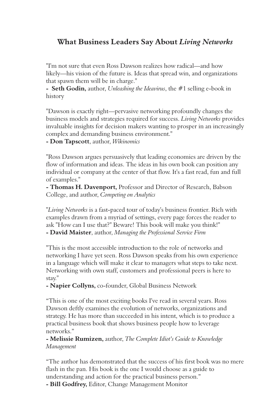# **What Business Leaders Say About** *Living Networks*

"I'm not sure that even Ross Dawson realizes how radical—and how likely—his vision of the future is. Ideas that spread win, and organizations that spawn them will be in charge."

**- Seth Godin,** author, *Unleashing the Ideavirus*, the #1 selling e-book in history

"Dawson is exactly right—pervasive networking profoundly changes the business models and strategies required for success. *Living Networks* provides invaluable insights for decision makers wanting to prosper in an increasingly complex and demanding business environment."

**- Don Tapscott**, author, *Wikinomics*

"Ross Dawson argues persuasively that leading economies are driven by the flow of information and ideas. The ideas in his own book can position any individual or company at the center of that flow. It's a fast read, fun and full of examples."

**- Thomas H. Davenport,** Professor and Director of Research, Babson College, and author, *Competing on Analytics*

"*Living Networks* is a fast-paced tour of today's business frontier. Rich with examples drawn from a myriad of settings, every page forces the reader to ask "How can I use that?" Beware! This book will make you think!" **- David Maister**, author, *Managing the Professional Service Firm*

"This is the most accessible introduction to the role of networks and networking I have yet seen. Ross Dawson speaks from his own experience in a language which will make it clear to managers what steps to take next. Networking with own staff, customers and professional peers is here to stay."

**- Napier Collyns,** co-founder, Global Business Network

"This is one of the most exciting books I've read in several years. Ross Dawson deftly examines the evolution of networks, organizations and strategy. He has more than succeeded in his intent, which is to produce a practical business book that shows business people how to leverage networks."

**- Melissie Rumizen,** author, *The Complete Idiot's Guide to Knowledge Management*

"The author has demonstrated that the success of his first book was no mere flash in the pan. His book is the one I would choose as a guide to understanding and action for the practical business person." **- Bill Godfrey,** Editor, Change Management Monitor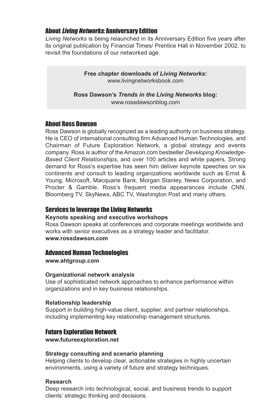#### About *Living Networks*: Anniversary Edition

*Living Networks* is being relaunched in its Anniversary Edition five years after its original publication by Financial Times/ Prentice Hall in November 2002, to revisit the foundations of our networked age.

> **Free chapter downloads of** *Living Networks***:** www.livingnetworksbook.com

**Ross Dawson's** *Trends in the Living Networks* **blog:** www.rossdawsonblog.com

#### About Ross Dawson

Ross Dawson is globally recognized as a leading authority on business strategy. He is CEO of international consulting firm Advanced Human Technologies, and Chairman of Future Exploration Network, a global strategy and events company. Ross is author of the Amazon.com bestseller *Developing Knowledge-Based Client Relationships*, and over 100 articles and white papers. Strong demand for Ross's expertise has seen him deliver keynote speeches on six continents and consult to leading organizations worldwide such as Ernst & Young, Microsoft, Macquarie Bank, Morgan Stanley, News Corporation, and Procter & Gamble. Ross's frequent media appearances include CNN, Bloomberg TV, SkyNews, ABC TV, Washington Post and many others.

#### Services to leverage the Living Networks

#### **Keynote speaking and executive workshops**

Ross Dawson speaks at conferences and corporate meetings worldwide and works with senior executives as a strategy leader and facilitator. **www.rossdawson.com**

#### Advanced Human Technologies

**www.ahtgroup.com**

#### **Organizational network analysis**

Use of sophisticated network approaches to enhance performance within organizations and in key business relationships.

#### **Relationship leadership**

Support in building high-value client, supplier, and partner relationships, including implementing key relationship management structures.

#### Future Exploration Network

**www.futureexploration.net**

#### **Strategy consulting and scenario planning**

Helping clients to develop clear, actionable strategies in highly uncertain environments, using a variety of future and strategy techniques.

#### **Research**

Deep research into technological, social, and business trends to support clients' strategic thinking and decisions.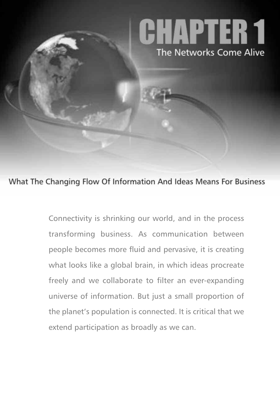

What The Changing Flow Of Information And Ideas Means For Business

Connectivity is shrinking our world, and in the process transforming business. As communication between people becomes more fluid and pervasive, it is creating what looks like a global brain, in which ideas procreate freely and we collaborate to filter an ever-expanding universe of information. But just a small proportion of the planet's population is connected. It is critical that we extend participation as broadly as we can.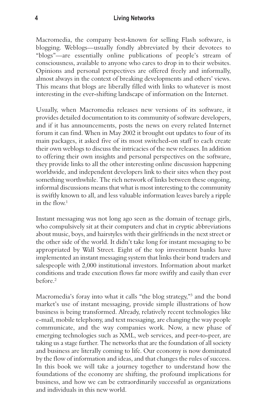Macromedia, the company best-known for selling Flash software, is blogging. Weblogs—usually fondly abbreviated by their devotees to "blogs"—are essentially online publications of people's stream of consciousness, available to anyone who cares to drop in to their websites. Opinions and personal perspectives are offered freely and informally, almost always in the context of breaking developments and others' views. This means that blogs are liberally filled with links to whatever is most interesting in the ever-shifting landscape of information on the Internet.

Usually, when Macromedia releases new versions of its software, it provides detailed documentation to its community of software developers, and if it has announcements, posts the news on every related Internet forum it can find. When in May 2002 it brought out updates to four of its main packages, it asked five of its most switched-on staff to each create their own weblogs to discuss the intricacies of the new releases. In addition to offering their own insights and personal perspectives on the software, they provide links to all the other interesting online discussion happening worldwide, and independent developers link to their sites when they post something worthwhile. The rich network of links between these ongoing, informal discussions means that what is most interesting to the community is swiftly known to all, and less valuable information leaves barely a ripple in the flow. 1

Instant messaging was not long ago seen as the domain of teenage girls, who compulsively sit at their computers and chat in cryptic abbreviations about music, boys, and hairstyles with their girlfriends in the next street or the other side of the world. It didn't take long for instant messaging to be appropriated by Wall Street. Eight of the top investment banks have implemented an instant messaging system that links their bond traders and salespeople with 2,000 institutional investors. Information about market conditions and trade execution flows far more swiftly and easily than ever before. 2

Macromedia's foray into what it calls "the blog strategy,"3 and the bond market's use of instant messaging, provide simple illustrations of how business is being transformed. Already, relatively recent technologies like e-mail, mobile telephony, and text messaging, are changing the way people communicate, and the way companies work. Now, a new phase of emerging technologies such as XML, web services, and peer-to-peer, are taking us a stage further. The networks that are the foundation of all society and business are literally coming to life. Our economy is now dominated by the flow of information and ideas, and that changes the rules of success. In this book we will take a journey together to understand how the foundations of the economy are shifting, the profound implications for business, and how we can be extraordinarily successful as organizations and individuals in this new world.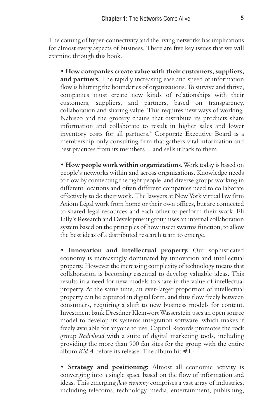The coming of hyper-connectivity and the living networks has implications for almost every aspects of business. There are five key issues that we will examine through this book.

**• How companies create value with their customers, suppliers, and partners.** The rapidly increasing ease and speed of information flow is blurring the boundaries of organizations. To survive and thrive, companies must create new kinds of relationships with their customers, suppliers, and partners, based on transparency, collaboration and sharing value. This requires new ways of working. Nabisco and the grocery chains that distribute its products share information and collaborate to result in higher sales and lower inventory costs for all partners. <sup>4</sup> Corporate Executive Board is a membership-only consulting firm that gathers vital information and best practices from its members… and sells it back to them.

**• How people work within organizations.** Work today is based on people's networks within and across organizations. Knowledge needs to flow by connecting the right people, and diverse groups working in different locations and often different companies need to collaborate effectively to do their work. The lawyers at New York virtual law firm Axiom Legal work from home or their own offices, but are connected to shared legal resources and each other to perform their work. Eli Lilly's Research and Development group uses an internal collaboration system based on the principles of how insect swarms function, to allow the best ideas of a distributed research team to emerge.

**• Innovation and intellectual property.** Our sophisticated economy is increasingly dominated by innovation and intellectual property. However the increasing complexity of technology means that collaboration is becoming essential to develop valuable ideas. This results in a need for new models to share in the value of intellectual property. At the same time, an ever-larger proportion of intellectual property can be captured in digital form, and thus flow freely between consumers, requiring a shift to new business models for content. Investment bank Dresdner Kleinwort Wasserstein uses an open source model to develop its systems integration software, which makes it freely available for anyone to use. Capitol Records promotes the rock group *Radiohead* with a suite of digital marketing tools, including providing the more than 900 fan sites for the group with the entire album *Kid A* before its release. The album hit #1. 5

**• Strategy and positioning:** Almost all economic activity is converging into a single space based on the flow of information and ideas. This emerging *flow economy* comprises a vast array of industries, including telecoms, technology, media, entertainment, publishing,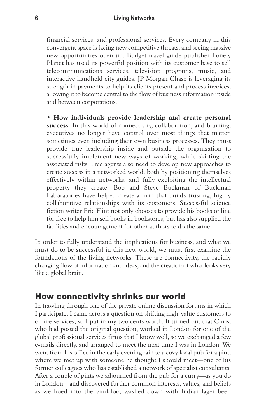financial services, and professional services. Every company in this convergent space is facing new competitive threats, and seeing massive new opportunities open up. Budget travel guide publisher Lonely Planet has used its powerful position with its customer base to sell telecommunications services, television programs, music, and interactive handheld city guides. JP Morgan Chase is leveraging its strength in payments to help its clients present and process invoices, allowing it to become central to the flow of business information inside and between corporations.

**• How individuals provide leadership and create personal success.** In this world of connectivity, collaboration, and blurring, executives no longer have control over most things that matter, sometimes even including their own business processes. They must provide true leadership inside and outside the organization to successfully implement new ways of working, while skirting the associated risks. Free agents also need to develop new approaches to create success in a networked world, both by positioning themselves effectively within networks, and fully exploiting the intellectual property they create. Bob and Steve Buckman of Buckman Laboratories have helped create a firm that builds trusting, highly collaborative relationships with its customers. Successful science fiction writer Eric Flint not only chooses to provide his books online for free to help him sell books in bookstores, but has also supplied the facilities and encouragement for other authors to do the same.

In order to fully understand the implications for business, and what we must do to be successful in this new world, we must first examine the foundations of the living networks. These are connectivity, the rapidly changing flow of information and ideas, and the creation of what looks very like a global brain.

### How connectivity shrinks our world

In trawling through one of the private online discussion forums in which I participate, I came across a question on shifting high-value customers to online services, so I put in my two cents worth. It turned out that Chris, who had posted the original question, worked in London for one of the global professional services firms that I know well, so we exchanged a few e-mails directly, and arranged to meet the next time I was in London. We went from his office in the early evening rain to a cozy local pub for a pint, where we met up with someone he thought I should meet—one of his former colleagues who has established a network of specialist consultants. After a couple of pints we adjourned from the pub for a curry—as you do in London—and discovered further common interests, values, and beliefs as we hoed into the vindaloo, washed down with Indian lager beer.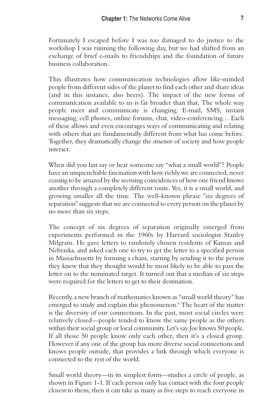Fortunately I escaped before I was too damaged to do justice to the workshop I was running the following day, but we had shifted from an exchange of brief e-mails to friendships and the foundation of future business collaboration.

This illustrates how communication technologies allow like-minded people from different sides of the planet to find each other and share ideas (and in this instance, also beers). The impact of the new forms of communication available to us is far broader than that. The whole way people meet and communicate is changing. E-mail, SMS, instant messaging, cell phones, online forums, chat, video-conferencing… Each of these allows and even encourages ways of communicating and relating with others that are fundamentally different from what has come before. Together, they dramatically change the *structure* of society and how people interact.

When did you last say or hear someone say "what a small world"? People have an unquenchable fascination with how richly we are connected, never ceasing to be amazed by the seeming coincidences of how one friend knows another through a completely different route. Yes, it is a small world, and growing smaller all the time. The well-known phrase "six degrees of separation" suggests that we are connected to every person on the planet by no more than six steps.

The concept of six degrees of separation originally emerged from experiments performed in the 1960s by Harvard sociologist Stanley Milgram. He gave letters to randomly chosen residents of Kansas and Nebraska, and asked each one to try to get the letter to a specified person in Massachusetts by forming a chain, starting by sending it to the person they knew that they thought would be most likely to be able to pass the letter on to the nominated target. It turned out that a median of six steps were required for the letters to get to their destination.

Recently, a new branch of mathematics known as "small world theory" has emerged to study and explain this phenomenon. <sup>6</sup> The heart of the matter is the diversity of our connections. In the past, most social circles were relatively closed—people tended to know the same people as the others within their social group or local community. Let's say Joe knows 50 people. If all those 50 people know only each other, then it's a closed group. However if any one of the group has more diverse social connections and knows people outside, that provides a link through which everyone is connected to the rest of the world.

Small world theory—in its simplest form—studies a circle of people, as shown in Figure 1-1. If each person only has contact with the four people closest to them, then it can take as many as five steps to reach everyone in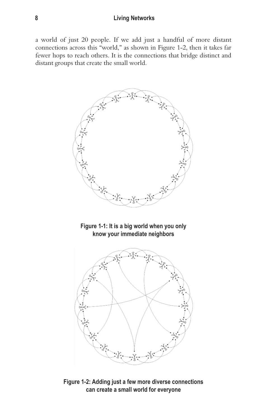#### **8 Living Networks**

a world of just 20 people. If we add just a handful of more distant connections across this "world," as shown in Figure 1-2, then it takes far fewer hops to reach others. It is the connections that bridge distinct and distant groups that create the small world.



**Figure 1-1: It is a big world when you only know your immediate neighbors**



**Figure 1-2: Adding just a few more diverse connections can create a small world for everyone**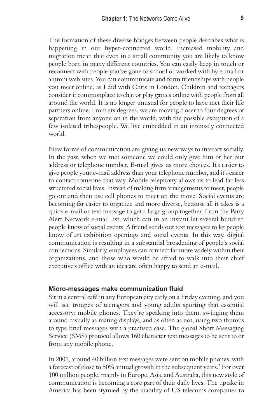The formation of these diverse bridges between people describes what is happening in our hyper-connected world. Increased mobility and migration mean that even in a small community you are likely to know people born in many different countries. You can easily keep in touch or reconnect with people you've gone to school or worked with by e-mail or alumni web sites. You can communicate and form friendships with people you meet online, as I did with Chris in London. Children and teenagers consider it commonplace to chat or play games online with people from all around the world. It is no longer unusual for people to have met their life partners online. From six degrees, we are moving closer to four degrees of separation from anyone on in the world, with the possible exception of a few isolated tribespeople. We live embedded in an intensely connected world.

New forms of communication are giving us new ways to interact socially. In the past, when we met someone we could only give him or her our address or telephone number. E-mail gives us more choices. It's easier to give people your e-mail address than your telephone number, and it's easier to contact someone that way. Mobile telephony allows us to lead far less structured social lives. Instead of making firm arrangements to meet, people go out and then use cell phones to meet on the move. Social events are becoming far easier to organize and more diverse, because all it takes is a quick e-mail or text message to get a large group together. I run the Party Alert Network e-mail list, which can in an instant let several hundred people know of social events. A friend sends out text messages to let people know of art exhibition openings and social events. In this way, digital communication is resulting in a substantial broadening of people's social connections. Similarly, employees can connect far more widely within their organizations, and those who would be afraid to walk into their chief executive's office with an idea are often happy to send an e-mail.

#### **Micro-messages make communication fluid**

Sit in a central café in any European city early on a Friday evening, and you will see troupes of teenagers and young adults sporting that essential accessory: mobile phones. They're speaking into them, swinging them around casually as mating displays, and as often as not, using two thumbs to type brief messages with a practised ease. The global Short Messaging Service (SMS) protocol allows 160 character text messages to be sent to or from any mobile phone.

In 2001, around 40 billion text messages were sent on mobile phones, with a forecast of close to 50% annual growth in the subsequent years. <sup>7</sup> For over 100 million people, mainly in Europe, Asia, and Australia, this new style of communication is becoming a core part of their daily lives. The uptake in America has been stymied by the inability of US telecoms companies to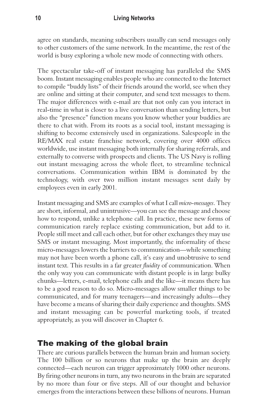agree on standards, meaning subscribers usually can send messages only to other customers of the same network. In the meantime, the rest of the world is busy exploring a whole new mode of connecting with others.

The spectacular take-off of instant messaging has paralleled the SMS boom. Instant messaging enables people who are connected to the Internet to compile "buddy lists" of their friends around the world, see when they are online and sitting at their computer, and send text messages to them. The major differences with e-mail are that not only can you interact in real-time in what is closer to a live conversation than sending letters, but also the "presence" function means you know whether your buddies are there to chat with. From its roots as a social tool, instant messaging is shifting to become extensively used in organizations. Salespeople in the RE/MAX real estate franchise network, covering over 4000 offices worldwide, use instant messaging both internally for sharing referrals, and externally to converse with prospects and clients. The US Navy is rolling out instant messaging across the whole fleet, to streamline technical conversations. Communication within IBM is dominated by the technology, with over two million instant messages sent daily by employees even in early 2001.

Instant messaging and SMS are examples of what I call *micro-messages*. They are short, informal, and unintrusive—you can see the message and choose how to respond, unlike a telephone call. In practice, these new forms of communication rarely replace existing communication, but add to it. People still meet and call each other, but for other exchanges they may use SMS or instant messaging. Most importantly, the informality of these micro-messages lowers the barriers to communication—while something may not have been worth a phone call, it's easy and unobtrusive to send instant text. This results in a far greater *fluidity* of communication. When the only way you can communicate with distant people is in large bulky chunks—letters, e-mail, telephone calls and the like—it means there has to be a good reason to do so. Micro-messages allow smaller things to be communicated, and for many teenagers—and increasingly adults—they have become a means of sharing their daily experience and thoughts. SMS and instant messaging can be powerful marketing tools, if treated appropriately, as you will discover in Chapter 6.

# The making of the global brain

There are curious parallels between the human brain and human society. The 100 billion or so neurons that make up the brain are deeply connected—each neuron can trigger approximately 1000 other neurons. By firing other neurons in turn, any two neurons in the brain are separated by no more than four or five steps. All of our thought and behavior emerges from the interactions between these billions of neurons. Human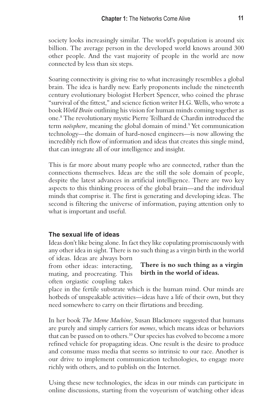society looks increasingly similar. The world's population is around six billion. The average person in the developed world knows around 300 other people. And the vast majority of people in the world are now connected by less than six steps.

Soaring connectivity is giving rise to what increasingly resembles a global brain. The idea is hardly new. Early proponents include the nineteenth century evolutionary biologist Herbert Spencer, who coined the phrase "survival of the fittest," and science fiction writer H.G. Wells, who wrote a book *World Brain* outlining his vision for human minds coming together as one. <sup>8</sup> The revolutionary mystic Pierre Teilhard de Chardin introduced the term *noösphere*, meaning the global domain of mind. <sup>9</sup> Yet communication technology—the domain of hard-nosed engineers—is now allowing the incredibly rich flow of information and ideas that creates this single mind, that can integrate all of our intelligence and insight.

This is far more about many people who are connected, rather than the connections themselves. Ideas are the still the sole domain of people, despite the latest advances in artificial intelligence. There are two key aspects to this thinking process of the global brain—and the individual minds that comprise it. The first is generating and developing ideas. The second is filtering the universe of information, paying attention only to what is important and useful.

#### **The sexual life of ideas**

Ideas don't like being alone. In fact they like copulating promiscuously with any other idea in sight. There is no such thing as a virgin birth in the world of ideas. Ideas are always born

from other ideas: interacting, mating, and procreating. This often orgiastic coupling takes

#### **There is no such thing as a virgin birth in the world of ideas.**

place in the fertile substrate which is the human mind. Our minds are hotbeds of unspeakable activities—ideas have a life of their own, but they need somewhere to carry on their flirtations and breeding.

In her book *The Meme Machine*, Susan Blackmore suggested that humans are purely and simply carriers for *memes*, which means ideas or behaviors that can be passed on to others. <sup>10</sup> Our species has evolved to become a more refined vehicle for propagating ideas. One result is the desire to produce and consume mass media that seems so intrinsic to our race. Another is our drive to implement communication technologies, to engage more richly with others, and to publish on the Internet.

Using these new technologies, the ideas in our minds can participate in online discussions, starting from the voyeurism of watching other ideas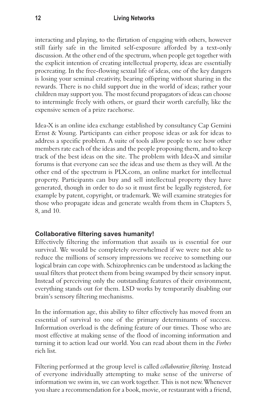interacting and playing, to the flirtation of engaging with others, however still fairly safe in the limited self-exposure afforded by a text-only discussion. At the other end of the spectrum, when people get together with the explicit intention of creating intellectual property, ideas are essentially procreating. In the free-flowing sexual life of ideas, one of the key dangers is losing your seminal creativity, bearing offspring without sharing in the rewards. There is no child support due in the world of ideas; rather your children may support you. The most fecund propagators of ideas can choose to intermingle freely with others, or guard their worth carefully, like the expensive semen of a prize racehorse.

Idea-X is an online idea exchange established by consultancy Cap Gemini Ernst & Young. Participants can either propose ideas or ask for ideas to address a specific problem. A suite of tools allow people to see how other members rate each of the ideas and the people proposing them, and to keep track of the best ideas on the site. The problem with Idea-X and similar forums is that everyone can see the ideas and use them as they will. At the other end of the spectrum is PLX.com, an online market for intellectual property. Participants can buy and sell intellectual property they have generated, though in order to do so it must first be legally registered, for example by patent, copyright, or trademark. We will examine strategies for those who propagate ideas and generate wealth from them in Chapters 5, 8, and 10.

#### **Collaborative filtering saves humanity!**

Effectively filtering the information that assails us is essential for our survival. We would be completely overwhelmed if we were not able to reduce the millions of sensory impressions we receive to something our logical brain can cope with. Schizophrenics can be understood as lacking the usual filters that protect them from being swamped by their sensory input. Instead of perceiving only the outstanding features of their environment, everything stands out for them. LSD works by temporarily disabling our brain's sensory filtering mechanisms.

In the information age, this ability to filter effectively has moved from an essential of survival to one of the primary determinants of success. Information overload is the defining feature of our times. Those who are most effective at making sense of the flood of incoming information and turning it to action lead our world. You can read about them in the *Forbes* rich list.

Filtering performed at the group level is called *collaborative filtering*. Instead of everyone individually attempting to make sense of the universe of information we swim in, we can work together. This is not new. Whenever you share a recommendation for a book, movie, or restaurant with a friend,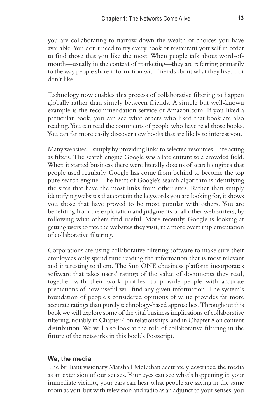you are collaborating to narrow down the wealth of choices you have available. You don't need to try every book or restaurant yourself in order to find those that you like the most. When people talk about word-ofmouth—usually in the context of marketing—they are referring primarily to the way people share information with friends about what they like… or don't like.

Technology now enables this process of collaborative filtering to happen globally rather than simply between friends. A simple but well-known example is the recommendation service of Amazon.com. If you liked a particular book, you can see what others who liked that book are also reading. You can read the comments of people who have read those books. You can far more easily discover new books that are likely to interest you.

Many websites—simply by providing links to selected resources—are acting as filters. The search engine Google was a late entrant to a crowded field. When it started business there were literally dozens of search engines that people used regularly. Google has come from behind to become the top pure search engine. The heart of Google's search algorithm is identifying the sites that have the most links from other sites. Rather than simply identifying websites that contain the keywords you are looking for, it shows you those that have proved to be most popular with others. You are benefiting from the exploration and judgments of all other web surfers, by following what others find useful. More recently, Google is looking at getting users to rate the websites they visit, in a more overt implementation of collaborative filtering.

Corporations are using collaborative filtering software to make sure their employees only spend time reading the information that is most relevant and interesting to them. The Sun ONE ebusiness platform incorporates software that takes users' ratings of the value of documents they read, together with their work profiles, to provide people with accurate predictions of how useful will find any given information. The system's foundation of people's considered opinions of value provides far more accurate ratings than purely technology-based approaches. Throughout this book we will explore some of the vital business implications of collaborative filtering, notably in Chapter 4 on relationships, and in Chapter 8 on content distribution. We will also look at the role of collaborative filtering in the future of the networks in this book's Postscript.

#### **We, the media**

The brilliant visionary Marshall McLuhan accurately described the media as an extension of our senses. Your eyes can see what's happening in your immediate vicinity, your ears can hear what people are saying in the same room as you, but with television and radio as an adjunct to your senses, you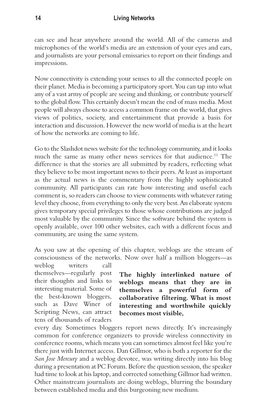can see and hear anywhere around the world. All of the cameras and microphones of the world's media are an extension of your eyes and ears, and journalists are your personal emissaries to report on their findings and impressions.

Now connectivity is extending your senses to all the connected people on their planet. Media is becoming a participatory sport. You can tap into what any of a vast army of people are seeing and thinking, or contribute yourself to the global flow. This certainly doesn't mean the end of mass media. Most people will always choose to access a common frame on the world, that gives views of politics, society, and entertainment that provide a basis for interaction and discussion. However the new world of media is at the heart of how the networks are coming to life.

Go to the Slashdot news website for the technology community, and it looks much the same as many other news services for that audience.<sup>11</sup> The difference is that the stories are all submitted by readers, reflecting what they believe to be most important news to their peers. At least as important as the actual news is the commentary from the highly sophisticated community. All participants can rate how interesting and useful each comment is, so readers can choose to view comments with whatever rating level they choose, from everything to only the very best. An elaborate system gives temporary special privileges to those whose contributions are judged most valuable by the community. Since the software behind the system is openly available, over 100 other websites, each with a different focus and community, are using the same system.

As you saw at the opening of this chapter, weblogs are the stream of consciousness of the networks. Now over half a million bloggers—as

weblog writers call themselves—regularly post their thoughts and links to interesting material. Some of the best-known bloggers, such as Dave Winer of Scripting News, can attract tens of thousands of readers

**The highly interlinked nature of weblogs means that they are in themselves a powerful form of collaborative filtering. What is most interesting and worthwhile quickly becomes most visible,**

every day. Sometimes bloggers report news directly. It's increasingly common for conference organizers to provide wireless connectivity in conference rooms, which means you can sometimes almost feel like you're there just with Internet access. Dan Gillmor, who is both a reporter for the *San Jose Mercury* and a weblog devotee, was writing directly into his blog during a presentation at PC Forum. Before the question session, the speaker had time to look at his laptop, and corrected something Gillmor had written. Other mainstream journalists are doing weblogs, blurring the boundary between established media and this burgeoning new medium.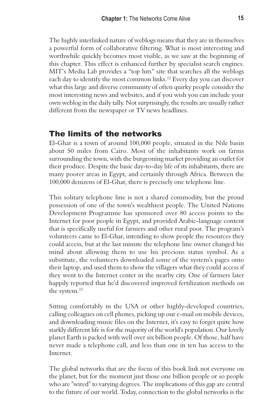The highly interlinked nature of weblogs means that they are in themselves a powerful form of collaborative filtering. What is most interesting and worthwhile quickly becomes most visible, as we saw at the beginning of this chapter. This effect is enhanced further by specialist search engines. MIT's Media Lab provides a "top hits" site that searches all the weblogs each day to identify the most common links. <sup>12</sup> Every day you can discover what this large and diverse community of often quirky people consider the most interesting news and websites, and if you wish you can include your own weblog in the daily tally. Not surprisingly, the results are usually rather different from the newspaper or TV news headlines.

## The limits of the networks

El-Ghar is a town of around 100,000 people, situated in the Nile basin about 50 miles from Cairo. Most of the inhabitants work on farms surrounding the town, with the burgeoning market providing an outlet for their produce. Despite the basic day-to-day life of its inhabitants, there are many poorer areas in Egypt, and certainly through Africa. Between the 100,000 denizens of El-Ghar, there is precisely one telephone line.

This solitary telephone line is not a shared commodity, but the proud possession of one of the town's wealthiest people. The United Nations Development Programme has sponsored over 80 access points to the Internet for poor people in Egypt, and provided Arabic-language content that is specifically useful for farmers and other rural poor. The program's volunteers came to El-Ghar, intending to show people the resources they could access, but at the last minute the telephone line owner changed his mind about allowing them to use his precious status symbol. As a substitute, the volunteers downloaded some of the system's pages onto their laptop, and used them to show the villagers what they could access if they went to the Internet center in the nearby city. One of farmers later happily reported that he'd discovered improved fertilization methods on the system. 13

Sitting comfortably in the USA or other highly-developed countries, calling colleagues on cell phones, picking up our e-mail on mobile devices, and downloading music files on the Internet, it's easy to forget quite how starkly different life is for the majority of the world's population. Our lovely planet Earth is packed with well over six billion people. Of those, half have never made a telephone call, and less than one in ten has access to the Internet.

The global networks that are the focus of this book link not everyone on the planet, but for the moment just those one billion people or so people who are "wired" to varying degrees. The implications of this gap are central to the future of our world. Today, connection to the global networks is the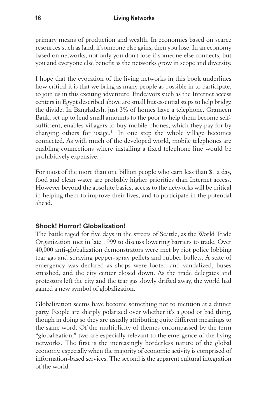primary means of production and wealth. In economies based on scarce resources such as land, if someone else gains, then you lose. In an economy based on networks, not only you don't lose if someone else connects, but you and everyone else benefit as the networks grow in scope and diversity.

I hope that the evocation of the living networks in this book underlines how critical it is that we bring as many people as possible in to participate, to join us in this exciting adventure. Endeavors such as the Internet access centers in Egypt described above are small but essential steps to help bridge the divide. In Bangladesh, just 3% of homes have a telephone. Grameen Bank, set up to lend small amounts to the poor to help them become selfsufficient, enables villagers to buy mobile phones, which they pay for by charging others for usage. <sup>14</sup> In one step the whole village becomes connected. As with much of the developed world, mobile telephones are enabling connections where installing a fixed telephone line would be prohibitively expensive.

For most of the more than one billion people who earn less than \$1 a day, food and clean water are probably higher priorities than Internet access. However beyond the absolute basics, access to the networks will be critical in helping them to improve their lives, and to participate in the potential ahead.

#### **Shock! Horror! Globalization!**

The battle raged for five days in the streets of Seattle, as the World Trade Organization met in late 1999 to discuss lowering barriers to trade. Over 40,000 anti-globalization demonstrators were met by riot police lobbing tear gas and spraying pepper-spray pellets and rubber bullets. A state of emergency was declared as shops were looted and vandalized, buses smashed, and the city center closed down. As the trade delegates and protestors left the city and the tear gas slowly drifted away, the world had gained a new symbol of globalization.

Globalization seems have become something not to mention at a dinner party. People are sharply polarized over whether it's a good or bad thing, though in doing so they are usually attributing quite different meanings to the same word. Of the multiplicity of themes encompassed by the term "globalization," two are especially relevant to the emergence of the living networks. The first is the increasingly borderless nature of the global economy, especially when the majority of economic activity is comprised of information-based services. The second is the apparent cultural integration of the world.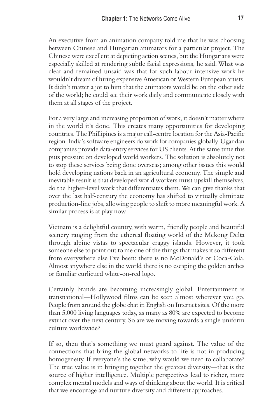An executive from an animation company told me that he was choosing between Chinese and Hungarian animators for a particular project. The Chinese were excellent at depicting action scenes, but the Hungarians were especially skilled at rendering subtle facial expressions, he said. What was clear and remained unsaid was that for such labour-intensive work he wouldn't dream of hiring expensive American or Western European artists. It didn't matter a jot to him that the animators would be on the other side of the world; he could see their work daily and communicate closely with them at all stages of the project.

For a very large and increasing proportion of work, it doesn't matter where in the world it's done. This creates many opportunities for developing countries. The Phillipines is a major call-centre location for the Asia-Pacific region. India's software engineers do work for companies globally. Ugandan companies provide data-entry services for US clients. At the same time this puts pressure on developed world workers. The solution is absolutely not to stop these services being done overseas; among other issues this would hold developing nations back in an agricultural economy. The simple and inevitable result is that developed world workers must upskill themselves, do the higher-level work that differentiates them. We can give thanks that over the last half-century the economy has shifted to virtually eliminate production-line jobs, allowing people to shift to more meaningful work. A similar process is at play now.

Vietnam is a delightful country, with warm, friendly people and beautiful scenery ranging from the ethereal floating world of the Mekong Delta through alpine vistas to spectacular craggy islands. However, it took someone else to point out to me one of the things that makes it so different from everywhere else I've been: there is no McDonald's or Coca-Cola. Almost anywhere else in the world there is no escaping the golden arches or familiar curlicued white-on-red logo.

Certainly brands are becoming increasingly global. Entertainment is transnational—Hollywood films can be seen almost wherever you go. People from around the globe chat in English on Internet sites. Of the more than 5,000 living languages today, as many as 80% are expected to become extinct over the next century. So are we moving towards a single uniform culture worldwide?

If so, then that's something we must guard against. The value of the connections that bring the global networks to life is not in producing homogeneity. If everyone's the same, why would we need to collaborate? The true value is in bringing together the greatest diversity—that is the source of higher intelligence. Multiple perspectives lead to richer, more complex mental models and ways of thinking about the world. It is critical that we encourage and nurture diversity and different approaches.